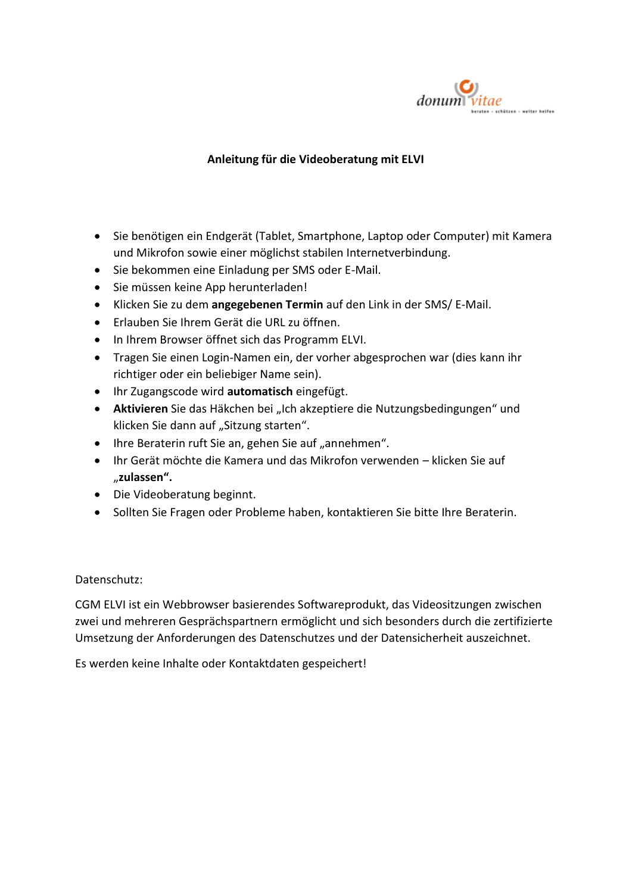

## **Anleitung für die Videoberatung mit ELVI**

- Sie benötigen ein Endgerät (Tablet, Smartphone, Laptop oder Computer) mit Kamera und Mikrofon sowie einer möglichst stabilen Internetverbindung.
- Sie bekommen eine Einladung per SMS oder E-Mail.
- Sie müssen keine App herunterladen!
- Klicken Sie zu dem **angegebenen Termin** auf den Link in der SMS/ E-Mail.
- Erlauben Sie Ihrem Gerät die URL zu öffnen.
- In Ihrem Browser öffnet sich das Programm ELVI.
- Tragen Sie einen Login-Namen ein, der vorher abgesprochen war (dies kann ihr richtiger oder ein beliebiger Name sein).
- Ihr Zugangscode wird **automatisch** eingefügt.
- **Aktivieren** Sie das Häkchen bei "Ich akzeptiere die Nutzungsbedingungen" und klicken Sie dann auf "Sitzung starten".
- Ihre Beraterin ruft Sie an, gehen Sie auf "annehmen".
- Ihr Gerät möchte die Kamera und das Mikrofon verwenden klicken Sie auf "**zulassen".**
- Die Videoberatung beginnt.
- Sollten Sie Fragen oder Probleme haben, kontaktieren Sie bitte Ihre Beraterin.

## Datenschutz:

CGM ELVI ist ein Webbrowser basierendes Softwareprodukt, das Videositzungen zwischen zwei und mehreren Gesprächspartnern ermöglicht und sich besonders durch die zertifizierte Umsetzung der Anforderungen des Datenschutzes und der Datensicherheit auszeichnet.

Es werden keine Inhalte oder Kontaktdaten gespeichert!